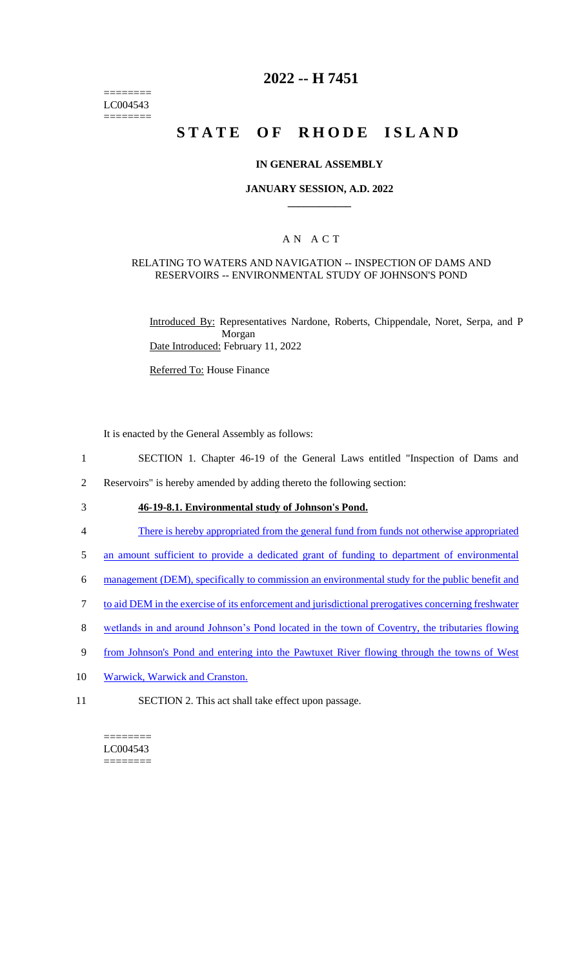======== LC004543 ========

## **2022 -- H 7451**

# **STATE OF RHODE ISLAND**

#### **IN GENERAL ASSEMBLY**

#### **JANUARY SESSION, A.D. 2022 \_\_\_\_\_\_\_\_\_\_\_\_**

## A N A C T

#### RELATING TO WATERS AND NAVIGATION -- INSPECTION OF DAMS AND RESERVOIRS -- ENVIRONMENTAL STUDY OF JOHNSON'S POND

Introduced By: Representatives Nardone, Roberts, Chippendale, Noret, Serpa, and P Morgan Date Introduced: February 11, 2022

Referred To: House Finance

It is enacted by the General Assembly as follows:

- 1 SECTION 1. Chapter 46-19 of the General Laws entitled "Inspection of Dams and
- 2 Reservoirs" is hereby amended by adding thereto the following section:
- 3 **46-19-8.1. Environmental study of Johnson's Pond.**
- 4 There is hereby appropriated from the general fund from funds not otherwise appropriated
- 5 an amount sufficient to provide a dedicated grant of funding to department of environmental
- 6 management (DEM), specifically to commission an environmental study for the public benefit and
- 7 to aid DEM in the exercise of its enforcement and jurisdictional prerogatives concerning freshwater
- 8 wetlands in and around Johnson's Pond located in the town of Coventry, the tributaries flowing
- 9 from Johnson's Pond and entering into the Pawtuxet River flowing through the towns of West
- 10 Warwick, Warwick and Cranston.
- 11 SECTION 2. This act shall take effect upon passage.

 $=$ LC004543 ========